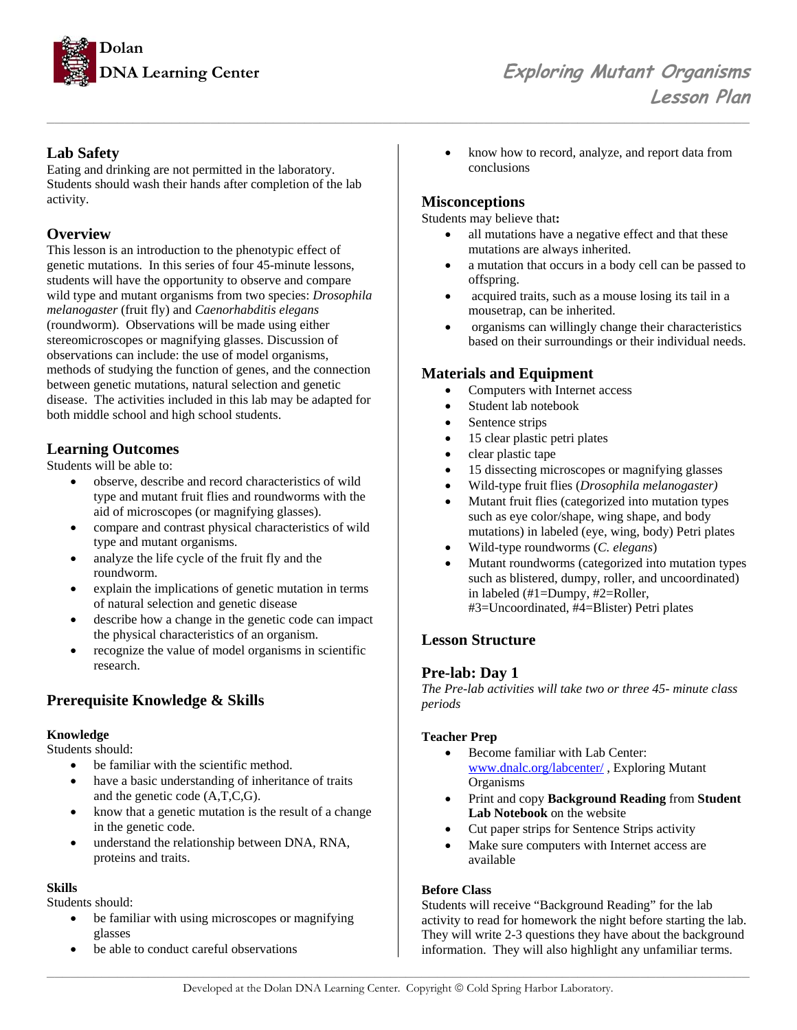

## **Lab Safety**

Eating and drinking are not permitted in the laboratory. Students should wash their hands after completion of the lab activity.

### **Overview**

This lesson is an introduction to the phenotypic effect of genetic mutations. In this series of four 45-minute lessons, students will have the opportunity to observe and compare wild type and mutant organisms from two species: *Drosophila melanogaster* (fruit fly) and *Caenorhabditis elegans* (roundworm). Observations will be made using either stereomicroscopes or magnifying glasses. Discussion of observations can include: the use of model organisms, methods of studying the function of genes, and the connection between genetic mutations, natural selection and genetic disease. The activities included in this lab may be adapted for both middle school and high school students.

### **Learning Outcomes**

Students will be able to:

- observe, describe and record characteristics of wild type and mutant fruit flies and roundworms with the aid of microscopes (or magnifying glasses).
- compare and contrast physical characteristics of wild type and mutant organisms.
- analyze the life cycle of the fruit fly and the roundworm.
- explain the implications of genetic mutation in terms of natural selection and genetic disease
- describe how a change in the genetic code can impact the physical characteristics of an organism.
- recognize the value of model organisms in scientific research.

## **Prerequisite Knowledge & Skills**

### **Knowledge**

Students should:

- be familiar with the scientific method.
- have a basic understanding of inheritance of traits and the genetic code (A,T,C,G).
- know that a genetic mutation is the result of a change in the genetic code.
- understand the relationship between DNA, RNA, proteins and traits.

### **Skills**

Students should:

- be familiar with using microscopes or magnifying glasses
- be able to conduct careful observations

• know how to record, analyze, and report data from conclusions

## **Misconceptions**

*\_\_\_\_\_\_\_\_\_\_\_\_\_\_\_\_\_\_\_\_\_\_\_\_\_\_\_\_\_\_\_\_\_\_\_\_\_\_\_\_\_\_\_\_\_\_\_\_\_\_\_\_\_\_\_\_\_\_\_\_\_\_\_\_\_\_\_\_\_\_\_\_\_\_\_\_\_\_\_\_\_\_\_\_\_\_\_\_\_\_* 

Students may believe that**:** 

- all mutations have a negative effect and that these mutations are always inherited.
- a mutation that occurs in a body cell can be passed to offspring.
- acquired traits, such as a mouse losing its tail in a mousetrap, can be inherited.
- organisms can willingly change their characteristics based on their surroundings or their individual needs.

## **Materials and Equipment**

- Computers with Internet access
- Student lab notebook
- Sentence strips
- 15 clear plastic petri plates
- clear plastic tape
- 15 dissecting microscopes or magnifying glasses
- Wild-type fruit flies (*Drosophila melanogaster)*
- Mutant fruit flies (categorized into mutation types such as eye color/shape, wing shape, and body mutations) in labeled (eye, wing, body) Petri plates
- Wild-type roundworms (*C. elegans*)
- Mutant roundworms (categorized into mutation types such as blistered, dumpy, roller, and uncoordinated) in labeled (#1=Dumpy, #2=Roller, #3=Uncoordinated, #4=Blister) Petri plates

## **Lesson Structure**

### **Pre-lab: Day 1**

*The Pre-lab activities will take two or three 45- minute class periods* 

### **Teacher Prep**

- Become familiar with Lab Center: www.dnalc.org/labcenter/ , Exploring Mutant Organisms
- Print and copy **Background Reading** from **Student Lab Notebook** on the website
- Cut paper strips for Sentence Strips activity
- Make sure computers with Internet access are available

### **Before Class**

Students will receive "Background Reading" for the lab activity to read for homework the night before starting the lab. They will write 2-3 questions they have about the background information. They will also highlight any unfamiliar terms.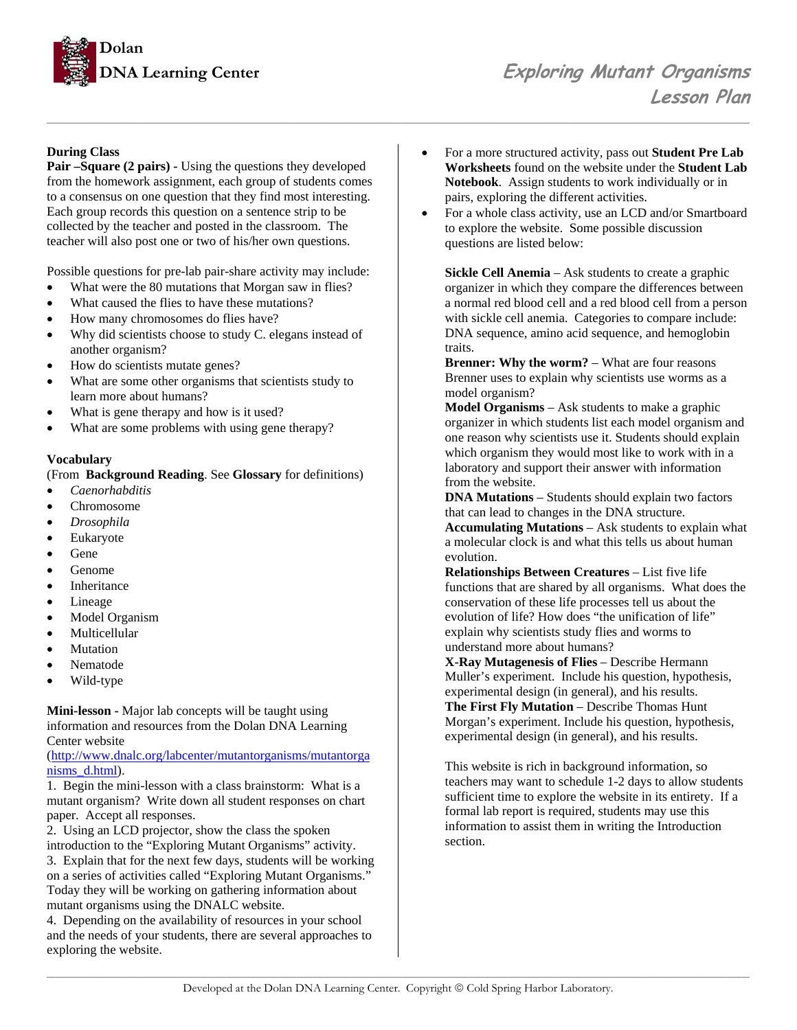

### **During Class**

**Pair –Square (2 pairs) -** Using the questions they developed from the homework assignment, each group of students comes to a consensus on one question that they find most interesting. Each group records this question on a sentence strip to be collected by the teacher and posted in the classroom. The teacher will also post one or two of his/her own questions.

Possible questions for pre-lab pair-share activity may include:

- What were the 80 mutations that Morgan saw in flies?
- What caused the flies to have these mutations?
- How many chromosomes do flies have?
- Why did scientists choose to study C. elegans instead of another organism?
- How do scientists mutate genes?
- What are some other organisms that scientists study to learn more about humans?
- What is gene therapy and how is it used?
- What are some problems with using gene therapy?

#### **Vocabulary**

(From **Background Reading**. See **Glossary** for definitions)

- *Caenorhabditis*
- Chromosome
- *Drosophila*
- **Eukaryote**
- Gene
- Genome
- **Inheritance**
- **Lineage**
- Model Organism
- Multicellular
- **Mutation**
- Nematode
- Wild-type

**Mini-lesson -** Major lab concepts will be taught using information and resources from the Dolan DNA Learning Center website

(http://www.dnalc.org/labcenter/mutantorganisms/mutantorga nisms\_d.html).

1. Begin the mini-lesson with a class brainstorm: What is a mutant organism? Write down all student responses on chart paper. Accept all responses.

2. Using an LCD projector, show the class the spoken introduction to the "Exploring Mutant Organisms" activity. 3. Explain that for the next few days, students will be working on a series of activities called "Exploring Mutant Organisms." Today they will be working on gathering information about mutant organisms using the DNALC website.

4. Depending on the availability of resources in your school and the needs of your students, there are several approaches to exploring the website.

- For a more structured activity, pass out **Student Pre Lab Worksheets** found on the website under the **Student Lab Notebook**. Assign students to work individually or in pairs, exploring the different activities.
- For a whole class activity, use an LCD and/or Smartboard to explore the website. Some possible discussion questions are listed below:

**Sickle Cell Anemia** – Ask students to create a graphic organizer in which they compare the differences between a normal red blood cell and a red blood cell from a person with sickle cell anemia. Categories to compare include: DNA sequence, amino acid sequence, and hemoglobin traits.

**Brenner: Why the worm?** – What are four reasons Brenner uses to explain why scientists use worms as a model organism?

**Model Organisms** – Ask students to make a graphic organizer in which students list each model organism and one reason why scientists use it. Students should explain which organism they would most like to work with in a laboratory and support their answer with information from the website.

**DNA Mutations** – Students should explain two factors that can lead to changes in the DNA structure.

**Accumulating Mutations** – Ask students to explain what a molecular clock is and what this tells us about human evolution.

**Relationships Between Creatures** – List five life functions that are shared by all organisms. What does the conservation of these life processes tell us about the evolution of life? How does "the unification of life" explain why scientists study flies and worms to understand more about humans?

**X-Ray Mutagenesis of Flies** – Describe Hermann Muller's experiment. Include his question, hypothesis, experimental design (in general), and his results. **The First Fly Mutation** – Describe Thomas Hunt Morgan's experiment. Include his question, hypothesis, experimental design (in general), and his results.

This website is rich in background information, so teachers may want to schedule 1-2 days to allow students sufficient time to explore the website in its entirety. If a formal lab report is required, students may use this information to assist them in writing the Introduction section.

*\_\_\_\_\_\_\_\_\_\_\_\_\_\_\_\_\_\_\_\_\_\_\_\_\_\_\_\_\_\_\_\_\_\_\_\_\_\_\_\_\_\_\_\_\_\_\_\_\_\_\_\_\_\_\_\_\_\_\_\_\_\_\_\_\_\_\_\_\_\_\_\_\_\_\_\_\_\_\_\_\_\_\_\_\_\_\_\_\_\_*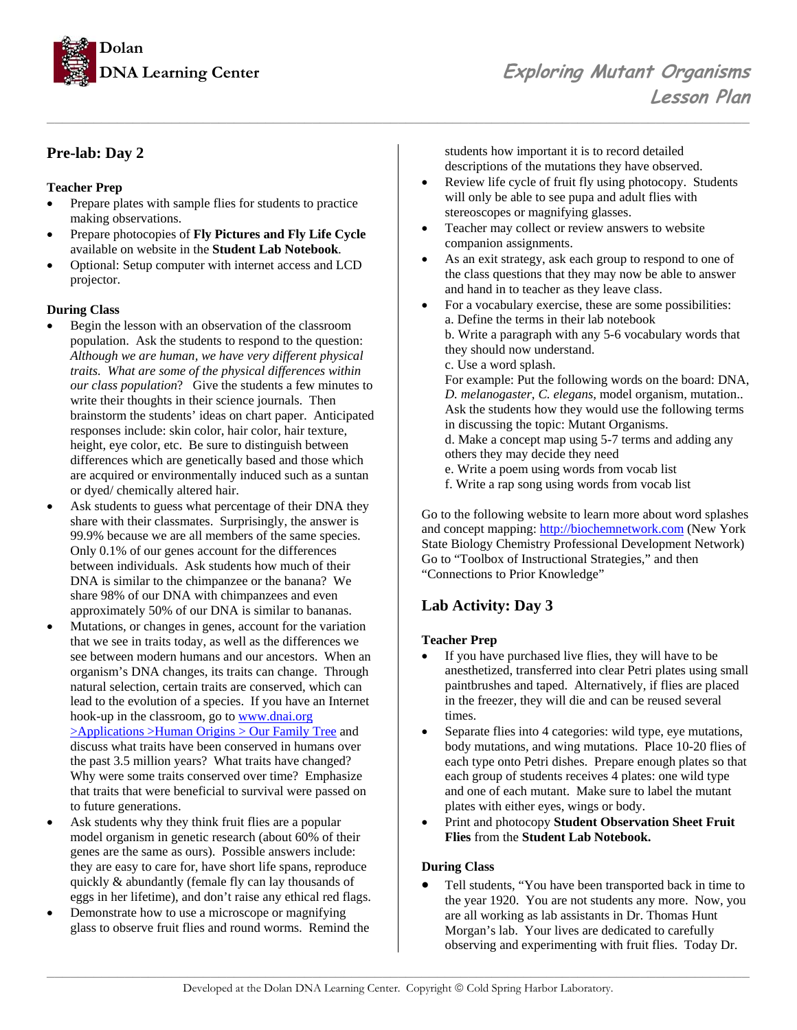

## **Pre-lab: Day 2**

### **Teacher Prep**

- Prepare plates with sample flies for students to practice making observations.
- Prepare photocopies of **Fly Pictures and Fly Life Cycle**  available on website in the **Student Lab Notebook**.
- Optional: Setup computer with internet access and LCD projector.

### **During Class**

- Begin the lesson with an observation of the classroom population. Ask the students to respond to the question: *Although we are human, we have very different physical traits. What are some of the physical differences within our class population*? Give the students a few minutes to write their thoughts in their science journals. Then brainstorm the students' ideas on chart paper. Anticipated responses include: skin color, hair color, hair texture, height, eye color, etc. Be sure to distinguish between differences which are genetically based and those which are acquired or environmentally induced such as a suntan or dyed/ chemically altered hair.
- Ask students to guess what percentage of their DNA they share with their classmates. Surprisingly, the answer is 99.9% because we are all members of the same species. Only 0.1% of our genes account for the differences between individuals. Ask students how much of their DNA is similar to the chimpanzee or the banana? We share 98% of our DNA with chimpanzees and even approximately 50% of our DNA is similar to bananas.
- Mutations, or changes in genes, account for the variation that we see in traits today, as well as the differences we see between modern humans and our ancestors. When an organism's DNA changes, its traits can change. Through natural selection, certain traits are conserved, which can lead to the evolution of a species. If you have an Internet hook-up in the classroom, go to www.dnai.org >Applications >Human Origins > Our Family Tree and discuss what traits have been conserved in humans over the past 3.5 million years? What traits have changed? Why were some traits conserved over time? Emphasize that traits that were beneficial to survival were passed on to future generations.
- Ask students why they think fruit flies are a popular model organism in genetic research (about 60% of their genes are the same as ours). Possible answers include: they are easy to care for, have short life spans, reproduce quickly & abundantly (female fly can lay thousands of eggs in her lifetime), and don't raise any ethical red flags.
- Demonstrate how to use a microscope or magnifying glass to observe fruit flies and round worms. Remind the

students how important it is to record detailed descriptions of the mutations they have observed.

- Review life cycle of fruit fly using photocopy. Students will only be able to see pupa and adult flies with stereoscopes or magnifying glasses.
- Teacher may collect or review answers to website companion assignments.
- As an exit strategy, ask each group to respond to one of the class questions that they may now be able to answer and hand in to teacher as they leave class.
- For a vocabulary exercise, these are some possibilities: a. Define the terms in their lab notebook b. Write a paragraph with any 5-6 vocabulary words that

they should now understand.

c. Use a word splash.

*\_\_\_\_\_\_\_\_\_\_\_\_\_\_\_\_\_\_\_\_\_\_\_\_\_\_\_\_\_\_\_\_\_\_\_\_\_\_\_\_\_\_\_\_\_\_\_\_\_\_\_\_\_\_\_\_\_\_\_\_\_\_\_\_\_\_\_\_\_\_\_\_\_\_\_\_\_\_\_\_\_\_\_\_\_\_\_\_\_\_* 

For example: Put the following words on the board: DNA, *D. melanogaster*, *C. elegans*, model organism, mutation.. Ask the students how they would use the following terms in discussing the topic: Mutant Organisms.

d. Make a concept map using 5-7 terms and adding any others they may decide they need

- e. Write a poem using words from vocab list
- f. Write a rap song using words from vocab list

Go to the following website to learn more about word splashes and concept mapping: http://biochemnetwork.com (New York State Biology Chemistry Professional Development Network) Go to "Toolbox of Instructional Strategies," and then "Connections to Prior Knowledge"

## **Lab Activity: Day 3**

### **Teacher Prep**

- If you have purchased live flies, they will have to be anesthetized, transferred into clear Petri plates using small paintbrushes and taped. Alternatively, if flies are placed in the freezer, they will die and can be reused several times.
- Separate flies into 4 categories: wild type, eye mutations, body mutations, and wing mutations. Place 10-20 flies of each type onto Petri dishes. Prepare enough plates so that each group of students receives 4 plates: one wild type and one of each mutant. Make sure to label the mutant plates with either eyes, wings or body.
- Print and photocopy **Student Observation Sheet Fruit Flies** from the **Student Lab Notebook.**

### **During Class**

Tell students, "You have been transported back in time to the year 1920. You are not students any more. Now, you are all working as lab assistants in Dr. Thomas Hunt Morgan's lab. Your lives are dedicated to carefully observing and experimenting with fruit flies. Today Dr.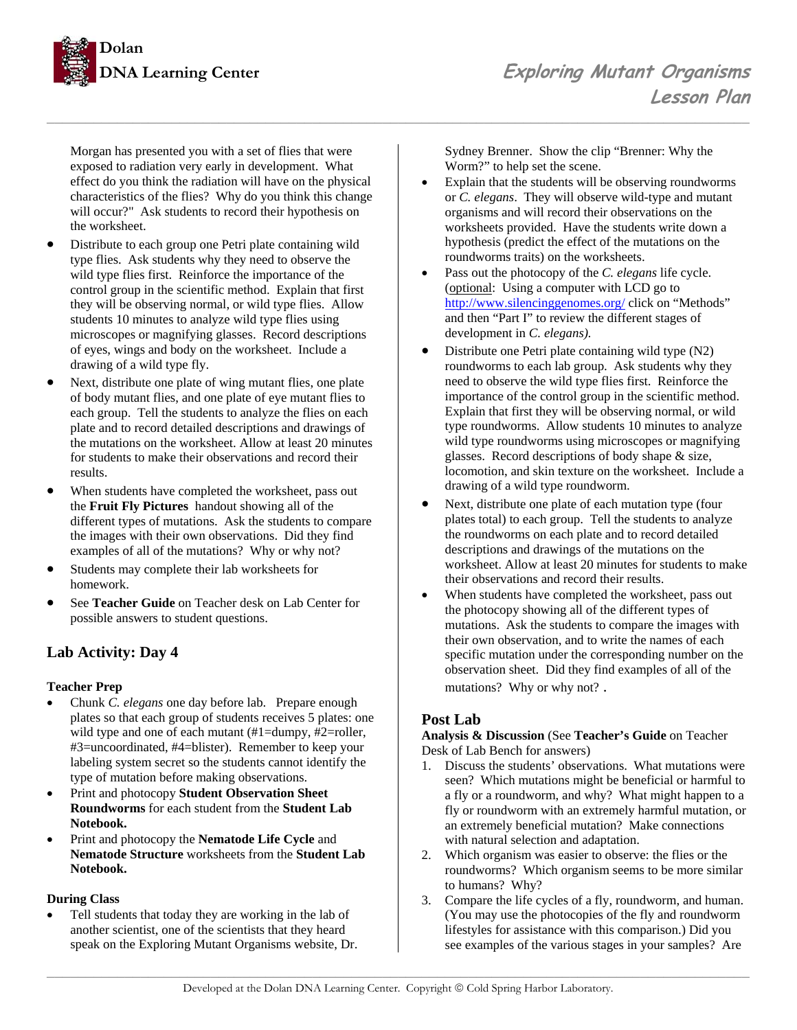

Morgan has presented you with a set of flies that were exposed to radiation very early in development. What effect do you think the radiation will have on the physical characteristics of the flies? Why do you think this change will occur?" Ask students to record their hypothesis on the worksheet.

- Distribute to each group one Petri plate containing wild type flies. Ask students why they need to observe the wild type flies first. Reinforce the importance of the control group in the scientific method. Explain that first they will be observing normal, or wild type flies. Allow students 10 minutes to analyze wild type flies using microscopes or magnifying glasses. Record descriptions of eyes, wings and body on the worksheet. Include a drawing of a wild type fly.
- Next, distribute one plate of wing mutant flies, one plate of body mutant flies, and one plate of eye mutant flies to each group. Tell the students to analyze the flies on each plate and to record detailed descriptions and drawings of the mutations on the worksheet. Allow at least 20 minutes for students to make their observations and record their results.
- When students have completed the worksheet, pass out the **Fruit Fly Pictures** handout showing all of the different types of mutations. Ask the students to compare the images with their own observations. Did they find examples of all of the mutations? Why or why not?
- Students may complete their lab worksheets for homework.
- See **Teacher Guide** on Teacher desk on Lab Center for possible answers to student questions.

## **Lab Activity: Day 4**

### **Teacher Prep**

- Chunk *C. elegans* one day before lab. Prepare enough plates so that each group of students receives 5 plates: one wild type and one of each mutant (#1=dumpy, #2=roller, #3=uncoordinated, #4=blister). Remember to keep your labeling system secret so the students cannot identify the type of mutation before making observations.
- Print and photocopy **Student Observation Sheet Roundworms** for each student from the **Student Lab Notebook.**
- Print and photocopy the **Nematode Life Cycle** and **Nematode Structure** worksheets from the **Student Lab Notebook.**

### **During Class**

Tell students that today they are working in the lab of another scientist, one of the scientists that they heard speak on the Exploring Mutant Organisms website, Dr. Sydney Brenner. Show the clip "Brenner: Why the Worm?" to help set the scene.

- Explain that the students will be observing roundworms or *C. elegans*. They will observe wild-type and mutant organisms and will record their observations on the worksheets provided. Have the students write down a hypothesis (predict the effect of the mutations on the roundworms traits) on the worksheets.
- Pass out the photocopy of the *C. elegans* life cycle. (optional: Using a computer with LCD go to http://www.silencinggenomes.org/ click on "Methods" and then "Part I" to review the different stages of development in *C. elegans).*
- Distribute one Petri plate containing wild type (N2) roundworms to each lab group. Ask students why they need to observe the wild type flies first. Reinforce the importance of the control group in the scientific method. Explain that first they will be observing normal, or wild type roundworms. Allow students 10 minutes to analyze wild type roundworms using microscopes or magnifying glasses. Record descriptions of body shape & size, locomotion, and skin texture on the worksheet. Include a drawing of a wild type roundworm.
- Next, distribute one plate of each mutation type (four plates total) to each group. Tell the students to analyze the roundworms on each plate and to record detailed descriptions and drawings of the mutations on the worksheet. Allow at least 20 minutes for students to make their observations and record their results.
- When students have completed the worksheet, pass out the photocopy showing all of the different types of mutations. Ask the students to compare the images with their own observation, and to write the names of each specific mutation under the corresponding number on the observation sheet. Did they find examples of all of the mutations? Why or why not? .

## **Post Lab**

*\_\_\_\_\_\_\_\_\_\_\_\_\_\_\_\_\_\_\_\_\_\_\_\_\_\_\_\_\_\_\_\_\_\_\_\_\_\_\_\_\_\_\_\_\_\_\_\_\_\_\_\_\_\_\_\_\_\_\_\_\_\_\_\_\_\_\_\_\_\_\_\_\_\_\_\_\_\_\_\_\_\_\_\_\_\_\_\_\_\_* 

### **Analysis & Discussion** (See **Teacher's Guide** on Teacher Desk of Lab Bench for answers)

- 1. Discuss the students' observations. What mutations were seen? Which mutations might be beneficial or harmful to a fly or a roundworm, and why? What might happen to a fly or roundworm with an extremely harmful mutation, or an extremely beneficial mutation? Make connections with natural selection and adaptation.
- 2. Which organism was easier to observe: the flies or the roundworms? Which organism seems to be more similar to humans? Why?
- 3. Compare the life cycles of a fly, roundworm, and human. (You may use the photocopies of the fly and roundworm lifestyles for assistance with this comparison.) Did you see examples of the various stages in your samples? Are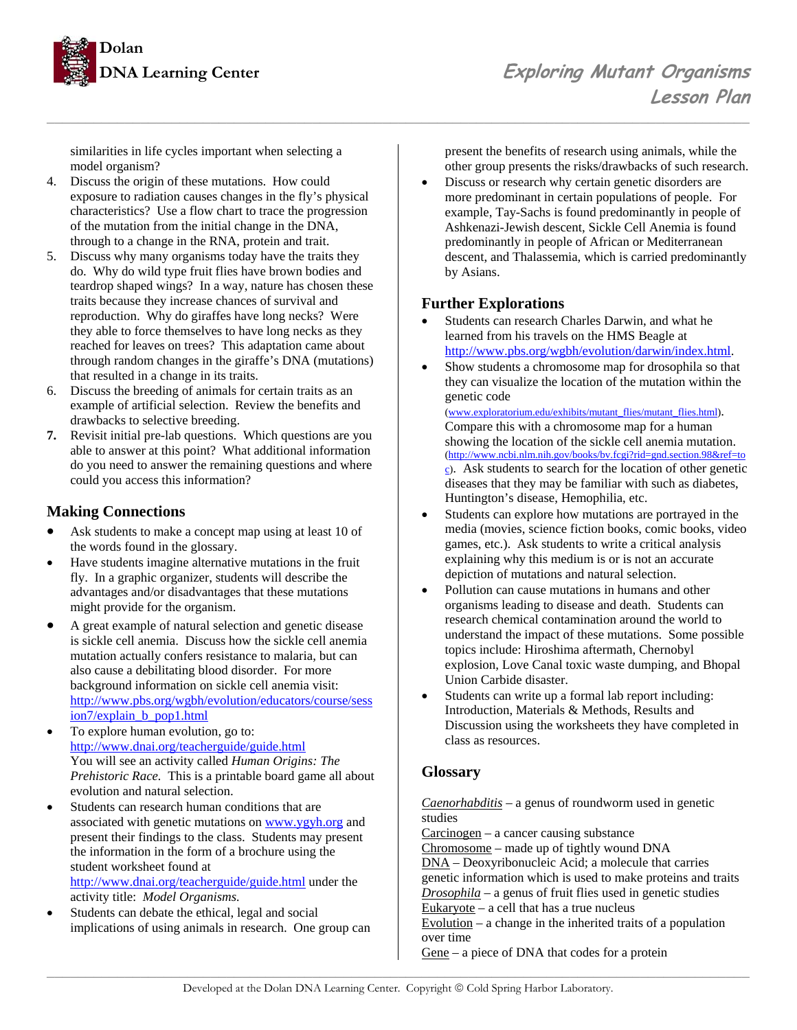

similarities in life cycles important when selecting a model organism?

- 4. Discuss the origin of these mutations. How could exposure to radiation causes changes in the fly's physical characteristics? Use a flow chart to trace the progression of the mutation from the initial change in the DNA, through to a change in the RNA, protein and trait.
- 5. Discuss why many organisms today have the traits they do. Why do wild type fruit flies have brown bodies and teardrop shaped wings? In a way, nature has chosen these traits because they increase chances of survival and reproduction. Why do giraffes have long necks? Were they able to force themselves to have long necks as they reached for leaves on trees? This adaptation came about through random changes in the giraffe's DNA (mutations) that resulted in a change in its traits.
- 6. Discuss the breeding of animals for certain traits as an example of artificial selection. Review the benefits and drawbacks to selective breeding.
- **7.** Revisit initial pre-lab questions. Which questions are you able to answer at this point? What additional information do you need to answer the remaining questions and where could you access this information?

## **Making Connections**

- Ask students to make a concept map using at least 10 of the words found in the glossary.
- Have students imagine alternative mutations in the fruit fly. In a graphic organizer, students will describe the advantages and/or disadvantages that these mutations might provide for the organism.
- A great example of natural selection and genetic disease is sickle cell anemia. Discuss how the sickle cell anemia mutation actually confers resistance to malaria, but can also cause a debilitating blood disorder. For more background information on sickle cell anemia visit: http://www.pbs.org/wgbh/evolution/educators/course/sess ion7/explain\_b\_pop1.html
- To explore human evolution, go to: http://www.dnai.org/teacherguide/guide.html You will see an activity called *Human Origins: The Prehistoric Race.* This is a printable board game all about evolution and natural selection.
- Students can research human conditions that are associated with genetic mutations on www.ygyh.org and present their findings to the class. Students may present the information in the form of a brochure using the student worksheet found at http://www.dnai.org/teacherguide/guide.html under the activity title: *Model Organisms.*
- Students can debate the ethical, legal and social implications of using animals in research. One group can

present the benefits of research using animals, while the other group presents the risks/drawbacks of such research.

• Discuss or research why certain genetic disorders are more predominant in certain populations of people. For example, Tay-Sachs is found predominantly in people of Ashkenazi-Jewish descent, Sickle Cell Anemia is found predominantly in people of African or Mediterranean descent, and Thalassemia, which is carried predominantly by Asians.

### **Further Explorations**

*\_\_\_\_\_\_\_\_\_\_\_\_\_\_\_\_\_\_\_\_\_\_\_\_\_\_\_\_\_\_\_\_\_\_\_\_\_\_\_\_\_\_\_\_\_\_\_\_\_\_\_\_\_\_\_\_\_\_\_\_\_\_\_\_\_\_\_\_\_\_\_\_\_\_\_\_\_\_\_\_\_\_\_\_\_\_\_\_\_\_* 

- Students can research Charles Darwin, and what he learned from his travels on the HMS Beagle at http://www.pbs.org/wgbh/evolution/darwin/index.html.
- Show students a chromosome map for drosophila so that they can visualize the location of the mutation within the genetic code

(www.exploratorium.edu/exhibits/mutant\_flies/mutant\_flies.html). Compare this with a chromosome map for a human showing the location of the sickle cell anemia mutation. (http://www.ncbi.nlm.nih.gov/books/bv.fcgi?rid=gnd.section.98&ref=to c). Ask students to search for the location of other genetic diseases that they may be familiar with such as diabetes, Huntington's disease, Hemophilia, etc.

- Students can explore how mutations are portrayed in the media (movies, science fiction books, comic books, video games, etc.). Ask students to write a critical analysis explaining why this medium is or is not an accurate depiction of mutations and natural selection.
- Pollution can cause mutations in humans and other organisms leading to disease and death. Students can research chemical contamination around the world to understand the impact of these mutations. Some possible topics include: Hiroshima aftermath, Chernobyl explosion, Love Canal toxic waste dumping, and Bhopal Union Carbide disaster.
- Students can write up a formal lab report including: Introduction, Materials & Methods, Results and Discussion using the worksheets they have completed in class as resources.

## **Glossary**

*Caenorhabditis* – a genus of roundworm used in genetic studies

Carcinogen – a cancer causing substance

Chromosome – made up of tightly wound DNA

DNA – Deoxyribonucleic Acid; a molecule that carries genetic information which is used to make proteins and traits

*Drosophila* – a genus of fruit flies used in genetic studies

Eukaryote – a cell that has a true nucleus

 $Evolution - a change in the inherited traits of a population$ over time

Gene – a piece of DNA that codes for a protein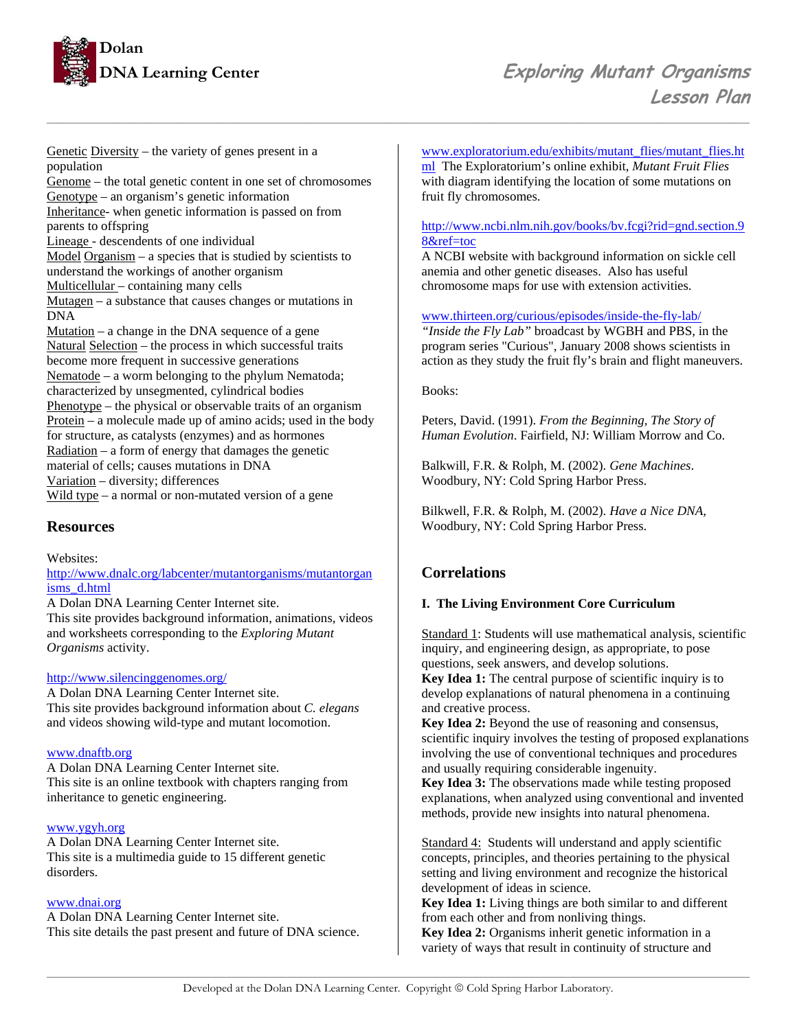

Genetic Diversity – the variety of genes present in a population Genome – the total genetic content in one set of chromosomes Genotype – an organism's genetic information Inheritance- when genetic information is passed on from parents to offspring Lineage - descendents of one individual Model Organism – a species that is studied by scientists to understand the workings of another organism Multicellular – containing many cells Mutagen – a substance that causes changes or mutations in DNA Mutation  $-$  a change in the DNA sequence of a gene Natural Selection – the process in which successful traits become more frequent in successive generations Nematode – a worm belonging to the phylum Nematoda; characterized by unsegmented, cylindrical bodies Phenotype – the physical or observable traits of an organism Protein – a molecule made up of amino acids; used in the body for structure, as catalysts (enzymes) and as hormones Radiation – a form of energy that damages the genetic material of cells; causes mutations in DNA Variation – diversity; differences Wild type – a normal or non-mutated version of a gene

### **Resources**

Websites:

#### http://www.dnalc.org/labcenter/mutantorganisms/mutantorgan isms\_d.html

A Dolan DNA Learning Center Internet site. This site provides background information, animations, videos and worksheets corresponding to the *Exploring Mutant Organisms* activity.

#### http://www.silencinggenomes.org/

A Dolan DNA Learning Center Internet site. This site provides background information about *C. elegans*  and videos showing wild-type and mutant locomotion.

### www.dnaftb.org

A Dolan DNA Learning Center Internet site. This site is an online textbook with chapters ranging from inheritance to genetic engineering.

#### www.ygyh.org

A Dolan DNA Learning Center Internet site. This site is a multimedia guide to 15 different genetic disorders.

#### www.dnai.org

A Dolan DNA Learning Center Internet site. This site details the past present and future of DNA science. www.exploratorium.edu/exhibits/mutant\_flies/mutant\_flies.ht ml The Exploratorium's online exhibit, *Mutant Fruit Flies* with diagram identifying the location of some mutations on fruit fly chromosomes.

### http://www.ncbi.nlm.nih.gov/books/bv.fcgi?rid=gnd.section.9 8&ref=toc

A NCBI website with background information on sickle cell anemia and other genetic diseases. Also has useful chromosome maps for use with extension activities.

www.thirteen.org/curious/episodes/inside-the-fly-lab/

*"Inside the Fly Lab"* broadcast by WGBH and PBS, in the program series "Curious", January 2008 shows scientists in action as they study the fruit fly's brain and flight maneuvers.

#### Books:

*\_\_\_\_\_\_\_\_\_\_\_\_\_\_\_\_\_\_\_\_\_\_\_\_\_\_\_\_\_\_\_\_\_\_\_\_\_\_\_\_\_\_\_\_\_\_\_\_\_\_\_\_\_\_\_\_\_\_\_\_\_\_\_\_\_\_\_\_\_\_\_\_\_\_\_\_\_\_\_\_\_\_\_\_\_\_\_\_\_\_* 

Peters, David. (1991). *From the Beginning, The Story of Human Evolution*. Fairfield, NJ: William Morrow and Co.

Balkwill, F.R. & Rolph, M. (2002). *Gene Machines*. Woodbury, NY: Cold Spring Harbor Press.

Bilkwell, F.R. & Rolph, M. (2002). *Have a Nice DNA,* Woodbury, NY: Cold Spring Harbor Press.

## **Correlations**

### **I. The Living Environment Core Curriculum**

Standard 1: Students will use mathematical analysis, scientific inquiry, and engineering design, as appropriate, to pose questions, seek answers, and develop solutions. **Key Idea 1:** The central purpose of scientific inquiry is to develop explanations of natural phenomena in a continuing and creative process.

**Key Idea 2:** Beyond the use of reasoning and consensus, scientific inquiry involves the testing of proposed explanations involving the use of conventional techniques and procedures and usually requiring considerable ingenuity.

**Key Idea 3:** The observations made while testing proposed explanations, when analyzed using conventional and invented methods, provide new insights into natural phenomena.

Standard 4: Students will understand and apply scientific concepts, principles, and theories pertaining to the physical setting and living environment and recognize the historical development of ideas in science.

**Key Idea 1:** Living things are both similar to and different from each other and from nonliving things.

**Key Idea 2:** Organisms inherit genetic information in a variety of ways that result in continuity of structure and